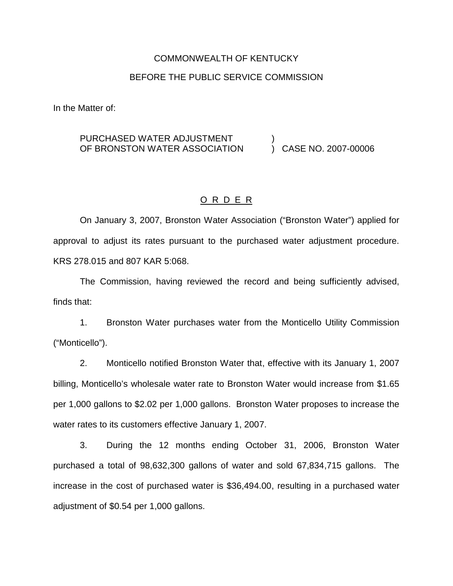### COMMONWEALTH OF KENTUCKY

## BEFORE THE PUBLIC SERVICE COMMISSION

In the Matter of:

#### PURCHASED WATER ADJUSTMENT OF BRONSTON WATER ASSOCIATION ) ) CASE NO. 2007-00006

## O R D E R

On January 3, 2007, Bronston Water Association ("Bronston Water") applied for approval to adjust its rates pursuant to the purchased water adjustment procedure. KRS 278.015 and 807 KAR 5:068.

The Commission, having reviewed the record and being sufficiently advised, finds that:

1. Bronston Water purchases water from the Monticello Utility Commission ("Monticello").

2. Monticello notified Bronston Water that, effective with its January 1, 2007 billing, Monticello's wholesale water rate to Bronston Water would increase from \$1.65 per 1,000 gallons to \$2.02 per 1,000 gallons. Bronston Water proposes to increase the water rates to its customers effective January 1, 2007.

3. During the 12 months ending October 31, 2006, Bronston Water purchased a total of 98,632,300 gallons of water and sold 67,834,715 gallons. The increase in the cost of purchased water is \$36,494.00, resulting in a purchased water adjustment of \$0.54 per 1,000 gallons.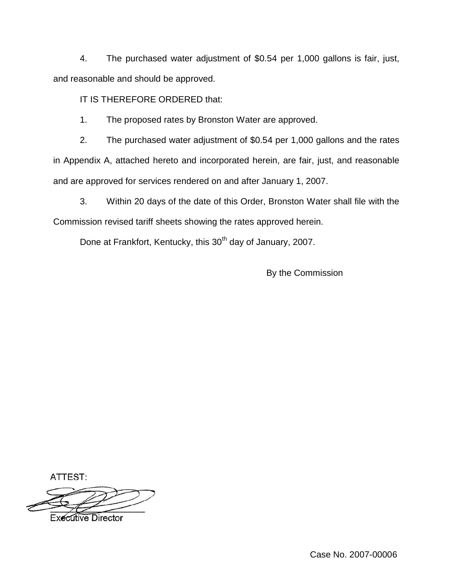4. The purchased water adjustment of \$0.54 per 1,000 gallons is fair, just, and reasonable and should be approved.

IT IS THEREFORE ORDERED that:

1. The proposed rates by Bronston Water are approved.

2. The purchased water adjustment of \$0.54 per 1,000 gallons and the rates in Appendix A, attached hereto and incorporated herein, are fair, just, and reasonable and are approved for services rendered on and after January 1, 2007.

3. Within 20 days of the date of this Order, Bronston Water shall file with the Commission revised tariff sheets showing the rates approved herein.

Done at Frankfort, Kentucky, this 30<sup>th</sup> day of January, 2007.

By the Commission

ATTEST:



Case No. 2007-00006